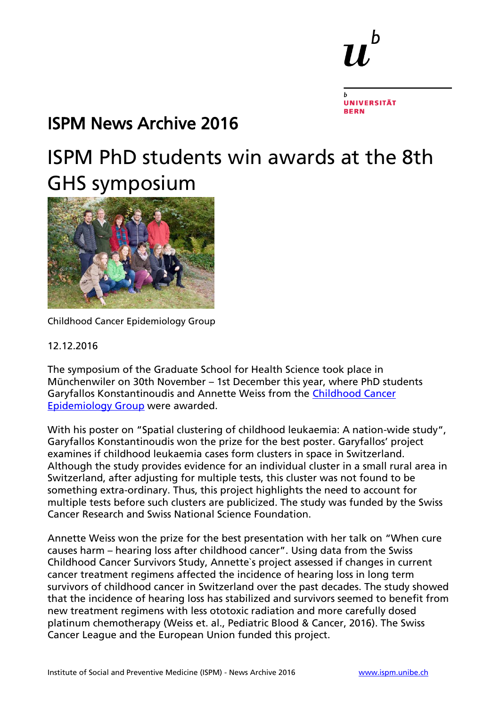b

### ISPM News Archive 2016

### ISPM PhD students win awards at the 8th GHS symposium



[Childhood Cancer Epidemiology Group](http://www.ispm.unibe.ch/about_us/news/ispm_phd_students_win_awards_at_the_8th_ghs_symposium/index_eng.html#gallery-modal_e511434) 

#### 12.12.2016

The symposium of the Graduate School for Health Science took place in Münchenwiler on 30th November – 1st December this year, where PhD students Garyfallos Konstantinoudis and Annette Weiss from the Childhood Cancer [Epidemiology Group](http://www.ispm.unibe.ch/research/research_groups/child_and_adolescent_health/index_eng.html#e451495) were awarded.

With his poster on "Spatial clustering of childhood leukaemia: A nation-wide study", Garyfallos Konstantinoudis won the prize for the best poster. Garyfallos' project examines if childhood leukaemia cases form clusters in space in Switzerland. Although the study provides evidence for an individual cluster in a small rural area in Switzerland, after adjusting for multiple tests, this cluster was not found to be something extra-ordinary. Thus, this project highlights the need to account for multiple tests before such clusters are publicized. The study was funded by the Swiss Cancer Research and Swiss National Science Foundation.

Annette Weiss won the prize for the best presentation with her talk on "When cure causes harm – hearing loss after childhood cancer". Using data from the Swiss Childhood Cancer Survivors Study, Annette`s project assessed if changes in current cancer treatment regimens affected the incidence of hearing loss in long term survivors of childhood cancer in Switzerland over the past decades. The study showed that the incidence of hearing loss has stabilized and survivors seemed to benefit from new treatment regimens with less ototoxic radiation and more carefully dosed platinum chemotherapy (Weiss et. al., Pediatric Blood & Cancer, 2016). The Swiss Cancer League and the European Union funded this project.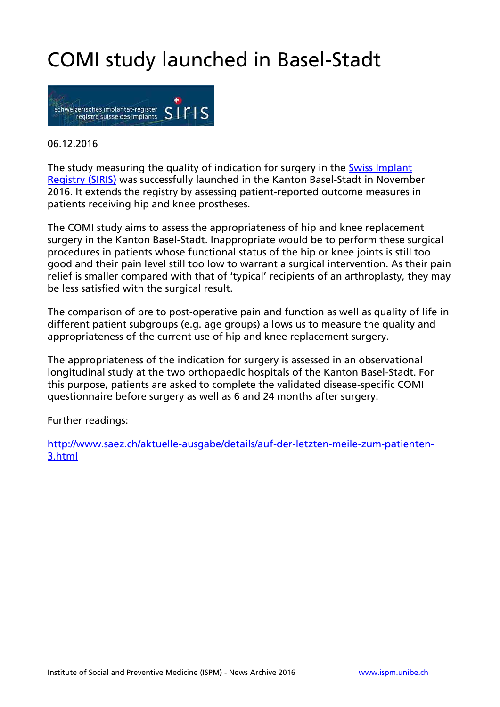## COMI study launched in Basel-Stadt



#### 06.12.2016

The study measuring the quality of indication for surgery in the **Swiss Implant** [Registry \(SIRIS\)](http://www.swissrdl.unibe.ch/registries/siris/index_eng.html) was successfully launched in the Kanton Basel-Stadt in November 2016. It extends the registry by assessing patient-reported outcome measures in patients receiving hip and knee prostheses.

The COMI study aims to assess the appropriateness of hip and knee replacement surgery in the Kanton Basel-Stadt. Inappropriate would be to perform these surgical procedures in patients whose functional status of the hip or knee joints is still too good and their pain level still too low to warrant a surgical intervention. As their pain relief is smaller compared with that of 'typical' recipients of an arthroplasty, they may be less satisfied with the surgical result.

The comparison of pre to post-operative pain and function as well as quality of life in different patient subgroups (e.g. age groups) allows us to measure the quality and appropriateness of the current use of hip and knee replacement surgery.

The appropriateness of the indication for surgery is assessed in an observational longitudinal study at the two orthopaedic hospitals of the Kanton Basel-Stadt. For this purpose, patients are asked to complete the validated disease-specific COMI questionnaire before surgery as well as 6 and 24 months after surgery.

Further readings:

[http://www.saez.ch/aktuelle-ausgabe/details/auf-der-letzten-meile-zum-patienten-](http://www.saez.ch/aktuelle-ausgabe/details/auf-der-letzten-meile-zum-patienten-3.html)[3.html](http://www.saez.ch/aktuelle-ausgabe/details/auf-der-letzten-meile-zum-patienten-3.html)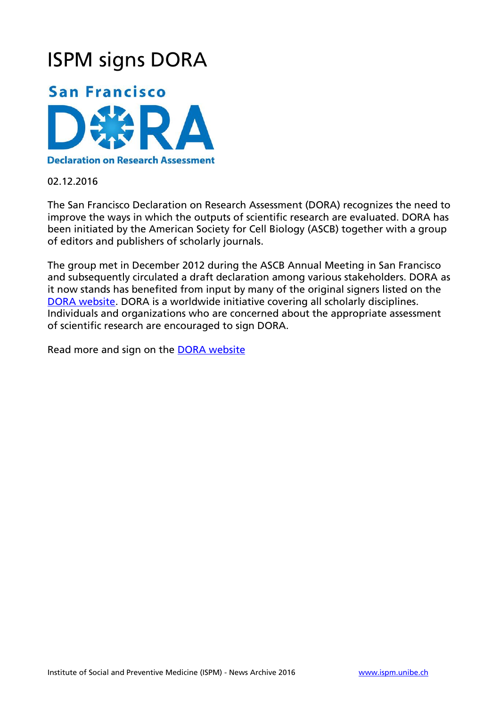### ISPM signs DORA



#### **Declaration on Research Assessment**

02.12.2016

The San Francisco Declaration on Research Assessment (DORA) recognizes the need to improve the ways in which the outputs of scientific research are evaluated. DORA has been initiated by the American Society for Cell Biology (ASCB) together with a group of editors and publishers of scholarly journals.

The group met in December 2012 during the ASCB Annual Meeting in San Francisco and subsequently circulated a draft declaration among various stakeholders. DORA as it now stands has benefited from input by many of the original signers listed on the [DORA website.](http://www.ascb.org/dora/) DORA is a worldwide initiative covering all scholarly disciplines. Individuals and organizations who are concerned about the appropriate assessment of scientific research are encouraged to sign DORA.

Read more and sign on the [DORA website](http://www.ascb.org/dora/)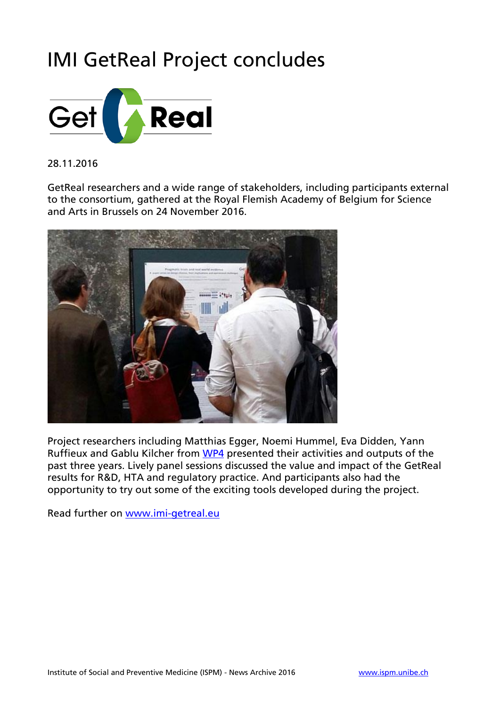## IMI GetReal Project concludes



### 28.11.2016

GetReal researchers and a wide range of stakeholders, including participants external to the consortium, gathered at the Royal Flemish Academy of Belgium for Science and Arts in Brussels on 24 November 2016.



Project researchers including Matthias Egger, Noemi Hummel, Eva Didden, Yann Ruffieux and Gablu Kilcher from [WP4](https://www.imi-getreal.eu/About-GetReal/Workpackage-4) presented their activities and outputs of the past three years. Lively panel sessions discussed the value and impact of the GetReal results for R&D, HTA and regulatory practice. And participants also had the opportunity to try out some of the exciting tools developed during the project.

Read further on [www.imi-getreal.eu](https://www.imi-getreal.eu/)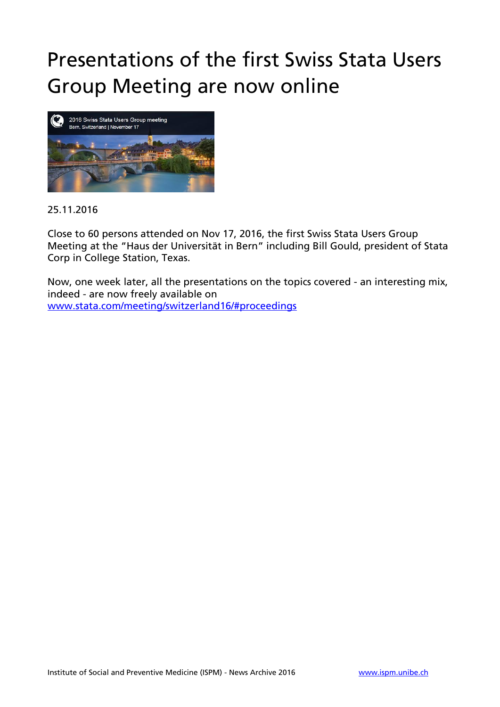## Presentations of the first Swiss Stata Users Group Meeting are now online



### 25.11.2016

Close to 60 persons attended on Nov 17, 2016, the first Swiss Stata Users Group Meeting at the "Haus der Universität in Bern" including Bill Gould, president of Stata Corp in College Station, Texas.

Now, one week later, all the presentations on the topics covered - an interesting mix, indeed - are now freely available on [www.stata.com/meeting/switzerland16/#proceedings](http://www.stata.com/meeting/switzerland16/#proceedings)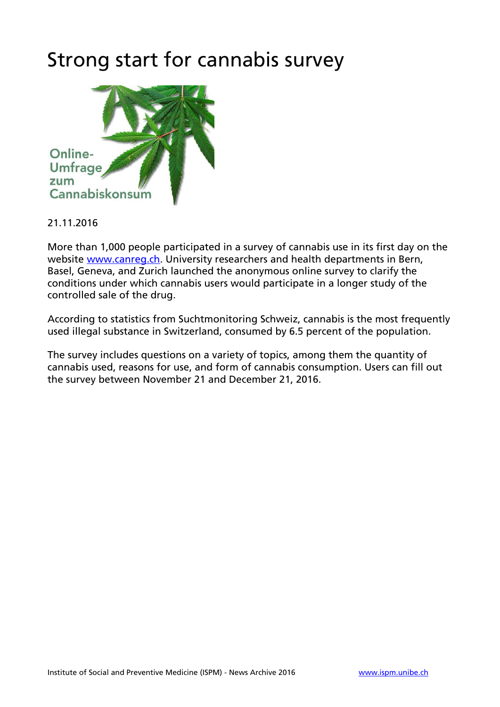### Strong start for cannabis survey



### 21.11.2016

More than 1,000 people participated in a survey of cannabis use in its first day on the website [www.canreg.ch.](http://www.canreg.ch/) University researchers and health departments in Bern, Basel, Geneva, and Zurich launched the anonymous online survey to clarify the conditions under which cannabis users would participate in a longer study of the controlled sale of the drug.

According to statistics from Suchtmonitoring Schweiz, cannabis is the most frequently used illegal substance in Switzerland, consumed by 6.5 percent of the population.

The survey includes questions on a variety of topics, among them the quantity of cannabis used, reasons for use, and form of cannabis consumption. Users can fill out the survey between November 21 and December 21, 2016.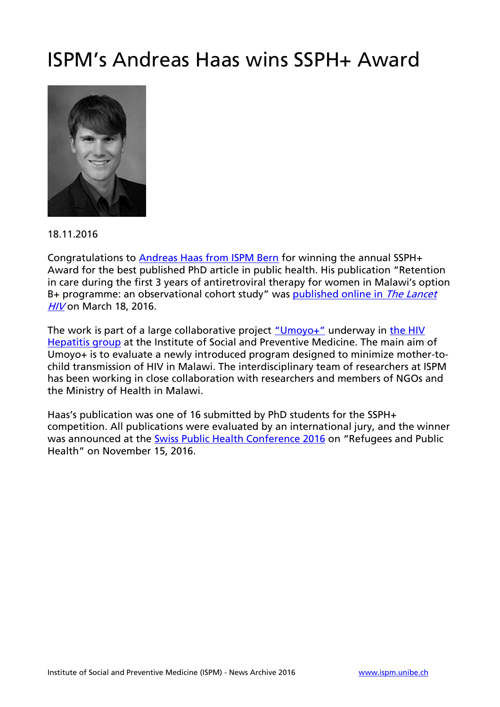### ISPM's Andreas Haas wins SSPH+ Award



18.11.2016

Congratulations to [Andreas Haas from ISPM Bern](http://www.ispm.unibe.ch/about_us/staff/haas_andreas/index_eng.html) for winning the annual SSPH+ Award for the best published PhD article in public health. His publication "Retention in care during the first 3 years of antiretroviral therapy for women in Malawi's option B+ programme: an observational cohort study" was [published online in](http://www.thelancet.com/journals/lanhiv/article/PIIS2352-3018%2816%2900008-4/fulltext) The Lancet [HIV](http://www.thelancet.com/journals/lanhiv/article/PIIS2352-3018%2816%2900008-4/fulltext) on March 18, 2016.

The work is part of a large collaborative project ["Umoyo+"](http://www.umoyoplus.org/) underway in the HIV [Hepatitis group](http://www.ispm.unibe.ch/research/research_groups/hiv_and_hepatitis/index_eng.html) at the Institute of Social and Preventive Medicine. The main aim of Umoyo+ is to evaluate a newly introduced program designed to minimize mother-tochild transmission of HIV in Malawi. The interdisciplinary team of researchers at ISPM has been working in close collaboration with researchers and members of NGOs and the Ministry of Health in Malawi.

Haas's publication was one of 16 submitted by PhD students for the SSPH+ competition. All publications were evaluated by an international jury, and the winner was announced at the [Swiss Public Health Conference 2016](https://sph16.organizers-congress.org/frontend/index.php?folder_id=787) on "Refugees and Public Health" on November 15, 2016.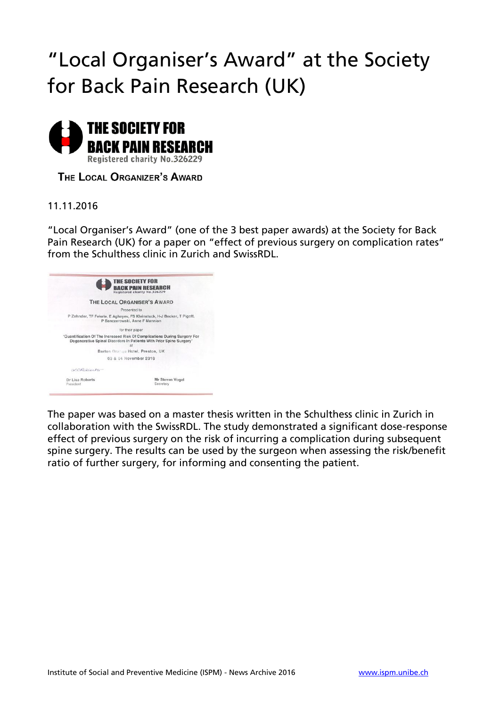## "Local Organiser's Award" at the Society for Back Pain Research (UK)



THE LOCAL ORGANIZER'S AWARD

### 11.11.2016

"Local Organiser's Award" (one of the 3 best paper awards) at the Society for Back Pain Research (UK) for a paper on "effect of previous surgery on complication rates" from the Schulthess clinic in Zurich and SwissRDL.

|                              | <b>THE SOCIETY FOR</b><br><b>BACK PAIN RESEARCH</b><br>Registered charity No.326229                                                                    |
|------------------------------|--------------------------------------------------------------------------------------------------------------------------------------------------------|
|                              | THE LOCAL ORGANISER'S AWARD                                                                                                                            |
|                              | Presented to                                                                                                                                           |
|                              | P Zehnder, TF Fekete, E Aghayev, FS Kleinstuck, H-J Becker, T Pigott,<br>P Banczerowski, Anne F Mannion                                                |
|                              | for their paper                                                                                                                                        |
|                              | 'Quantification Of The Increased Risk Of Complications During Surgery For<br>Degenerative Spinal Disorders In Patients With Prior Spine Surgery'<br>at |
|                              | Barton Grange Hotel, Preston, UK                                                                                                                       |
|                              | 03 & 04 November 2016                                                                                                                                  |
| $N$ CRobertx                 |                                                                                                                                                        |
| Dr Lisa Roberts<br>President | Mr Steven Vogel<br>Secretary                                                                                                                           |

The paper was based on a master thesis written in the Schulthess clinic in Zurich in collaboration with the SwissRDL. The study demonstrated a significant dose-response effect of previous surgery on the risk of incurring a complication during subsequent spine surgery. The results can be used by the surgeon when assessing the risk/benefit ratio of further surgery, for informing and consenting the patient.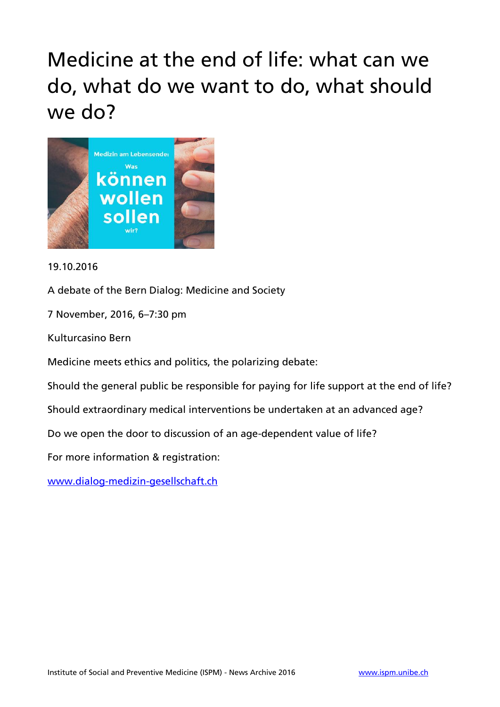## Medicine at the end of life: what can we do, what do we want to do, what should we do?



### 19.10.2016

A debate of the Bern Dialog: Medicine and Society

7 November, 2016, 6–7:30 pm

Kulturcasino Bern

Medicine meets ethics and politics, the polarizing debate:

Should the general public be responsible for paying for life support at the end of life?

Should extraordinary medical interventions be undertaken at an advanced age?

Do we open the door to discussion of an age-dependent value of life?

For more information & registration:

[www.dialog-medizin-gesellschaft.ch](http://www.dialog-medizin-gesellschaft.ch/)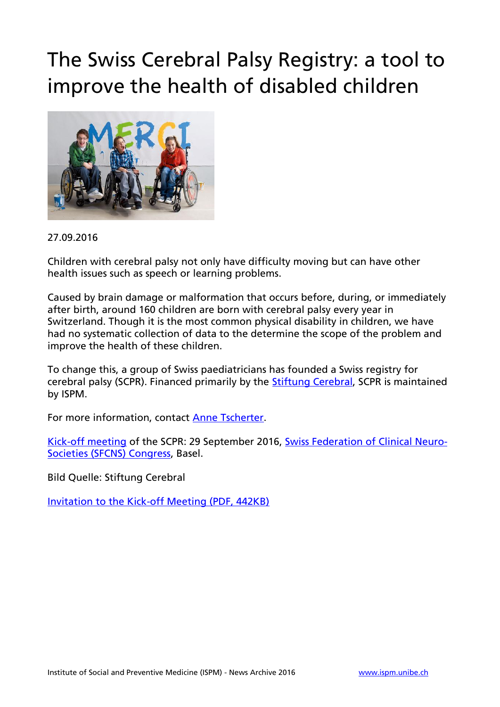## The Swiss Cerebral Palsy Registry: a tool to improve the health of disabled children



#### 27.09.2016

Children with cerebral palsy not only have difficulty moving but can have other health issues such as speech or learning problems.

Caused by brain damage or malformation that occurs before, during, or immediately after birth, around 160 children are born with cerebral palsy every year in Switzerland. Though it is the most common physical disability in children, we have had no systematic collection of data to the determine the scope of the problem and improve the health of these children.

To change this, a group of Swiss paediatricians has founded a Swiss registry for cerebral palsy (SCPR). Financed primarily by the [Stiftung Cerebral,](https://www.cerebral.ch/en) SCPR is maintained by ISPM.

For more information, contact [Anne Tscherter.](http://www.ispm.unibe.ch/about_us/staff/tscherter_anne/index_eng.html)

[Kick-off meeting](http://www.ispm.unibe.ch/unibe/portal/fak_medizin/ber_vkhum/inst_smp/content/e93993/e95206/e485730/e485811/KickoffMeeting_SCPR_eng.pdf) of the SCPR: 29 September 2016, [Swiss Federation of](https://kongress.imk.ch/sfcns2016/Home) Clinical Neuro-[Societies \(SFCNS\) Congress,](https://kongress.imk.ch/sfcns2016/Home) Basel.

Bild Quelle: Stiftung Cerebral

[Invitation to the Kick-off Meeting \(PDF, 442KB\)](http://www.ispm.unibe.ch/unibe/portal/fak_medizin/ber_vkhum/inst_smp/content/e93993/e95206/e485730/e485811/KickoffMeeting_SCPR_eng.pdf)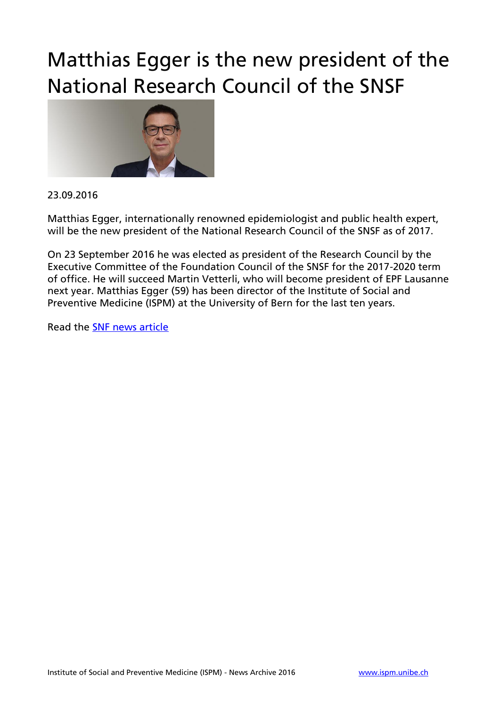## Matthias Egger is the new president of the National Research Council of the SNSF



#### 23.09.2016

Matthias Egger, internationally renowned epidemiologist and public health expert, will be the new president of the National Research Council of the SNSF as of 2017.

On 23 September 2016 he was elected as president of the Research Council by the Executive Committee of the Foundation Council of the SNSF for the 2017-2020 term of office. He will succeed Martin Vetterli, who will become president of EPF Lausanne next year. Matthias Egger (59) has been director of the Institute of Social and Preventive Medicine (ISPM) at the University of Bern for the last ten years.

Read the [SNF news article](http://www.snf.ch/en/researchinFocus/newsroom/Pages/news-160923-press-releases-matthias-egger-new-president-national-research-council-snsf.aspx)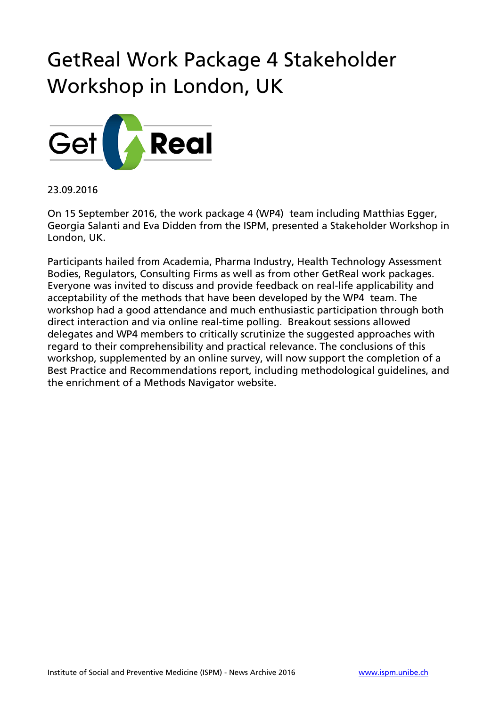## GetReal Work Package 4 Stakeholder Workshop in London, UK



23.09.2016

On 15 September 2016, the work package 4 (WP4) team including Matthias Egger, Georgia Salanti and Eva Didden from the ISPM, presented a Stakeholder Workshop in London, UK.

Participants hailed from Academia, Pharma Industry, Health Technology Assessment Bodies, Regulators, Consulting Firms as well as from other GetReal work packages. Everyone was invited to discuss and provide feedback on real-life applicability and acceptability of the methods that have been developed by the WP4 team. The workshop had a good attendance and much enthusiastic participation through both direct interaction and via online real-time polling. Breakout sessions allowed delegates and WP4 members to critically scrutinize the suggested approaches with regard to their comprehensibility and practical relevance. The conclusions of this workshop, supplemented by an online survey, will now support the completion of a Best Practice and Recommendations report, including methodological guidelines, and the enrichment of a Methods Navigator website.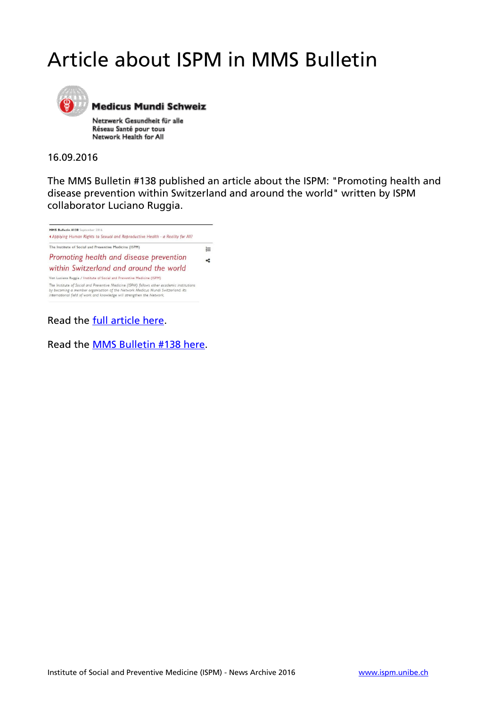## Article about ISPM in MMS Bulletin



**Medicus Mundi Schweiz** 

Netzwerk Gesundheit für alle Réseau Santé pour tous Network Health for All

#### 16.09.2016

The MMS Bulletin #138 published an article about the ISPM: "Promoting health and disease prevention within Switzerland and around the world" written by ISPM collaborator Luciano Ruggia.



Read the [full article here.](http://www.medicusmundi.ch/de/bulletin/mms-bulletin/human-rights-based-approach/magazin/promoting-health-and-disease-prevention-within-switzerland-and-around-the-world)

Read the [MMS Bulletin #138 here.](http://www.medicusmundi.ch/de/bulletin/mms-bulletin/human-rights-based-approach)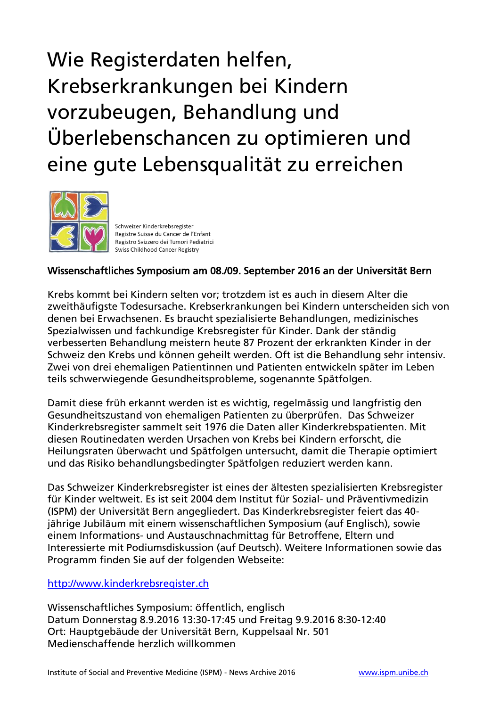# Wie Registerdaten helfen, Krebserkrankungen bei Kindern vorzubeugen, Behandlung und Überlebenschancen zu optimieren und eine gute Lebensqualität zu erreichen



Schweizer Kinderkrebsregister Registre Suisse du Cancer de l'Enfant Registro Svizzero dei Tumori Pediatrici Swiss Childhood Cancer Registry

### Wissenschaftliches Symposium am 08./09. September 2016 an der Universität Bern

Krebs kommt bei Kindern selten vor; trotzdem ist es auch in diesem Alter die zweithäufigste Todesursache. Krebserkrankungen bei Kindern unterscheiden sich von denen bei Erwachsenen. Es braucht spezialisierte Behandlungen, medizinisches Spezialwissen und fachkundige Krebsregister für Kinder. Dank der ständig verbesserten Behandlung meistern heute 87 Prozent der erkrankten Kinder in der Schweiz den Krebs und können geheilt werden. Oft ist die Behandlung sehr intensiv. Zwei von drei ehemaligen Patientinnen und Patienten entwickeln später im Leben teils schwerwiegende Gesundheitsprobleme, sogenannte Spätfolgen.

Damit diese früh erkannt werden ist es wichtig, regelmässig und langfristig den Gesundheitszustand von ehemaligen Patienten zu überprüfen. Das Schweizer Kinderkrebsregister sammelt seit 1976 die Daten aller Kinderkrebspatienten. Mit diesen Routinedaten werden Ursachen von Krebs bei Kindern erforscht, die Heilungsraten überwacht und Spätfolgen untersucht, damit die Therapie optimiert und das Risiko behandlungsbedingter Spätfolgen reduziert werden kann.

Das Schweizer Kinderkrebsregister ist eines der ältesten spezialisierten Krebsregister für Kinder weltweit. Es ist seit 2004 dem Institut für Sozial- und Präventivmedizin (ISPM) der Universität Bern angegliedert. Das Kinderkrebsregister feiert das 40 jährige Jubiläum mit einem wissenschaftlichen Symposium (auf Englisch), sowie einem Informations- und Austauschnachmittag für Betroffene, Eltern und Interessierte mit Podiumsdiskussion (auf Deutsch). Weitere Informationen sowie das Programm finden Sie auf der folgenden Webseite:

### [http://www.kinderkrebsregister.ch](http://www.kinderkrebsregister.ch/index.php?id=4056)

Wissenschaftliches Symposium: öffentlich, englisch Datum Donnerstag 8.9.2016 13:30-17:45 und Freitag 9.9.2016 8:30-12:40 Ort: Hauptgebäude der Universität Bern, Kuppelsaal Nr. 501 Medienschaffende herzlich willkommen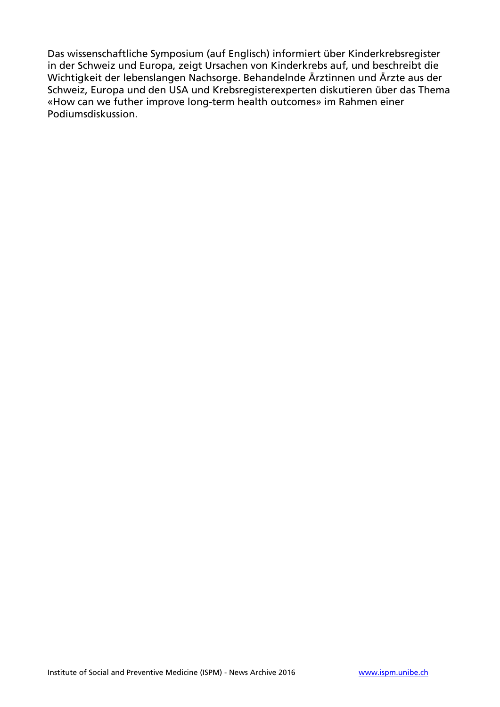Das wissenschaftliche Symposium (auf Englisch) informiert über Kinderkrebsregister in der Schweiz und Europa, zeigt Ursachen von Kinderkrebs auf, und beschreibt die Wichtigkeit der lebenslangen Nachsorge. Behandelnde Ärztinnen und Ärzte aus der Schweiz, Europa und den USA und Krebsregisterexperten diskutieren über das Thema «How can we futher improve long-term health outcomes» im Rahmen einer Podiumsdiskussion.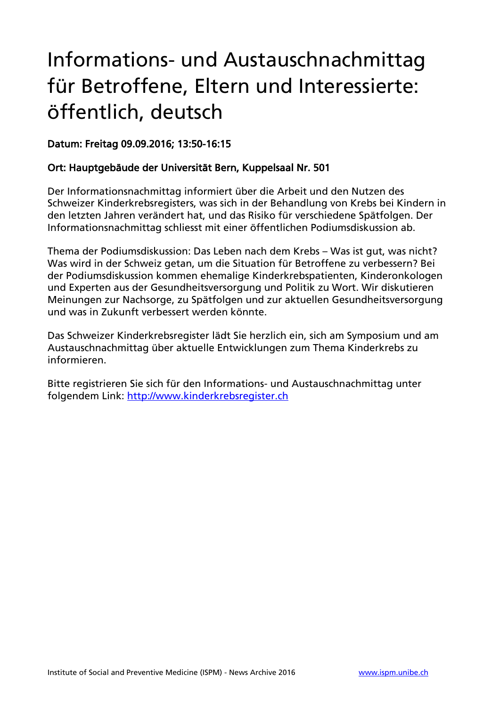## Informations- und Austauschnachmittag für Betroffene, Eltern und Interessierte: öffentlich, deutsch

### Datum: Freitag 09.09.2016; 13:50-16:15

### Ort: Hauptgebäude der Universität Bern, Kuppelsaal Nr. 501

Der Informationsnachmittag informiert über die Arbeit und den Nutzen des Schweizer Kinderkrebsregisters, was sich in der Behandlung von Krebs bei Kindern in den letzten Jahren verändert hat, und das Risiko für verschiedene Spätfolgen. Der Informationsnachmittag schliesst mit einer öffentlichen Podiumsdiskussion ab.

Thema der Podiumsdiskussion: Das Leben nach dem Krebs – Was ist gut, was nicht? Was wird in der Schweiz getan, um die Situation für Betroffene zu verbessern? Bei der Podiumsdiskussion kommen ehemalige Kinderkrebspatienten, Kinderonkologen und Experten aus der Gesundheitsversorgung und Politik zu Wort. Wir diskutieren Meinungen zur Nachsorge, zu Spätfolgen und zur aktuellen Gesundheitsversorgung und was in Zukunft verbessert werden könnte.

Das Schweizer Kinderkrebsregister lädt Sie herzlich ein, sich am Symposium und am Austauschnachmittag über aktuelle Entwicklungen zum Thema Kinderkrebs zu informieren.

Bitte registrieren Sie sich für den Informations- und Austauschnachmittag unter folgendem Link: [http://www.kinderkrebsregister.ch](http://www.kinderkrebsregister.ch/index.php?id=4055)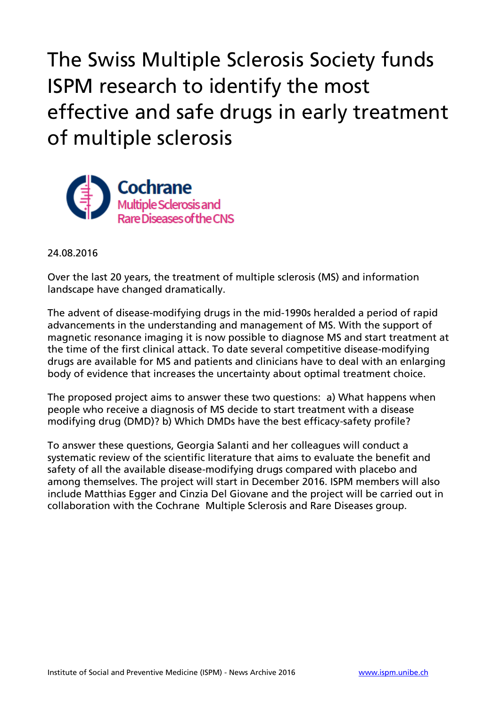The Swiss Multiple Sclerosis Society funds ISPM research to identify the most effective and safe drugs in early treatment of multiple sclerosis



24.08.2016

Over the last 20 years, the treatment of multiple sclerosis (MS) and information landscape have changed dramatically.

The advent of disease-modifying drugs in the mid-1990s heralded a period of rapid advancements in the understanding and management of MS. With the support of magnetic resonance imaging it is now possible to diagnose MS and start treatment at the time of the first clinical attack. To date several competitive disease-modifying drugs are available for MS and patients and clinicians have to deal with an enlarging body of evidence that increases the uncertainty about optimal treatment choice.

The proposed project aims to answer these two questions: a) What happens when people who receive a diagnosis of MS decide to start treatment with a disease modifying drug (DMD)? b) Which DMDs have the best efficacy-safety profile?

To answer these questions, Georgia Salanti and her colleagues will conduct a systematic review of the scientific literature that aims to evaluate the benefit and safety of all the available disease-modifying drugs compared with placebo and among themselves. The project will start in December 2016. ISPM members will also include Matthias Egger and Cinzia Del Giovane and the project will be carried out in collaboration with the Cochrane Multiple Sclerosis and Rare Diseases group.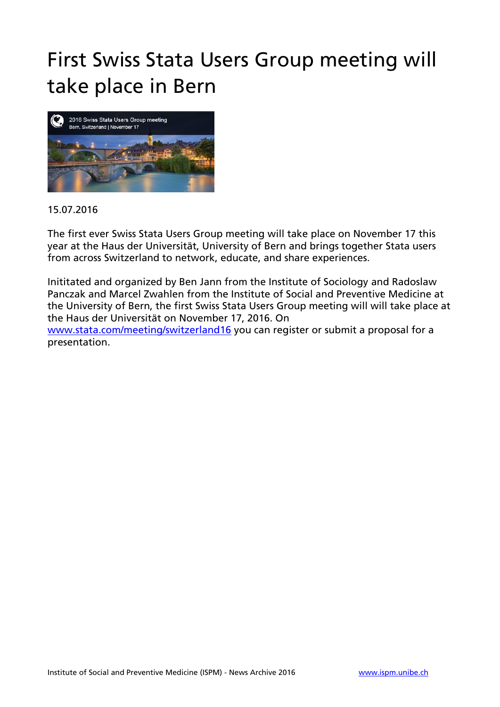## First Swiss Stata Users Group meeting will take place in Bern



#### 15.07.2016

The first ever Swiss Stata Users Group meeting will take place on November 17 this year at the Haus der Universität, University of Bern and brings together Stata users from across Switzerland to network, educate, and share experiences.

Inititated and organized by Ben Jann from the Institute of Sociology and Radoslaw Panczak and Marcel Zwahlen from the Institute of Social and Preventive Medicine at the University of Bern, the first Swiss Stata Users Group meeting will will take place at the Haus der Universität on November 17, 2016. On [www.stata.com/meeting/switzerland16](http://www.stata.com/meeting/switzerland16) you can register or submit a proposal for a presentation.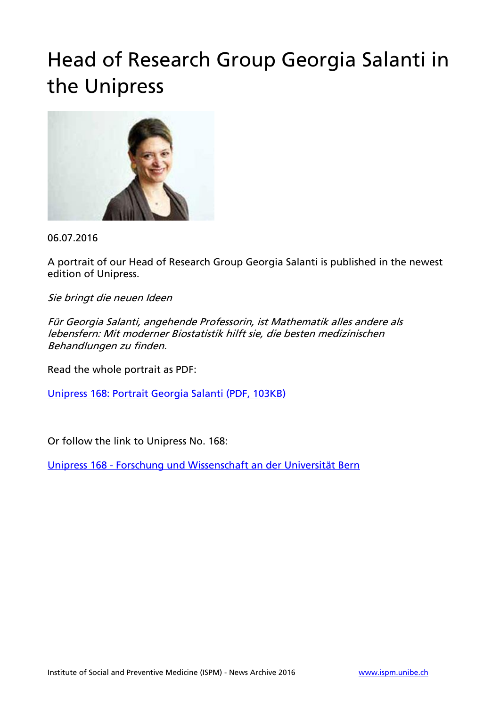## Head of Research Group Georgia Salanti in the Unipress



06.07.2016

A portrait of our Head of Research Group Georgia Salanti is published in the newest edition of Unipress.

Sie bringt die neuen Ideen

Für Georgia Salanti, angehende Professorin, ist Mathematik alles andere als lebensfern: Mit moderner Biostatistik hilft sie, die besten medizinischen Behandlungen zu finden.

Read the whole portrait as PDF:

[Unipress 168: Portrait Georgia Salanti \(PDF, 103KB\)](http://www.ispm.unibe.ch/unibe/portal/fak_medizin/ber_vkhum/inst_smp/content/e93993/e95206/e455172/e455176/Unipress_168_Georgia_Salanti_OPERAM_eng.pdf) 

Or follow the link to Unipress No. 168:

Unipress 168 - [Forschung und Wissenschaft an der Universität Bern](https://media.unibe.ch/public/Unipress/168/index.html?etcc_cmp=blaettern&etcc_med=Website&etcc_cu=onsite&etcc_ctv=Unipress_168)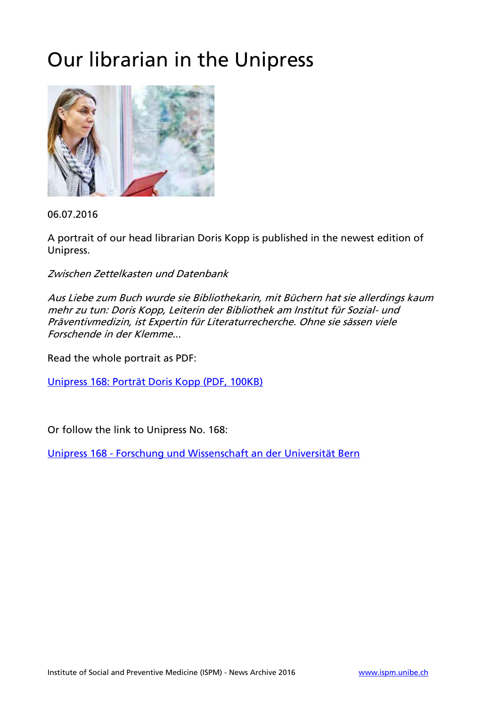## Our librarian in the Unipress



06.07.2016

A portrait of our head librarian Doris Kopp is published in the newest edition of Unipress.

Zwischen Zettelkasten und Datenbank

Aus Liebe zum Buch wurde sie Bibliothekarin, mit Büchern hat sie allerdings kaum mehr zu tun: Doris Kopp, Leiterin der Bibliothek am Institut für Sozial- und Präventivmedizin, ist Expertin für Literaturrecherche. Ohne sie sässen viele Forschende in der Klemme...

Read the whole portrait as PDF:

[Unipress 168: Porträt Doris Kopp \(PDF, 100KB\)](http://www.ispm.unibe.ch/unibe/portal/fak_medizin/ber_vkhum/inst_smp/content/e93993/e95206/e455128/e455140/Unipress_168_Portrt_Doris_Kopp_eng.pdf) 

Or follow the link to Unipress No. 168:

Unipress 168 - [Forschung und Wissenschaft an der Universität Bern](https://media.unibe.ch/public/Unipress/168/index.html?etcc_cmp=blaettern&etcc_med=Website&etcc_cu=onsite&etcc_ctv=Unipress_168)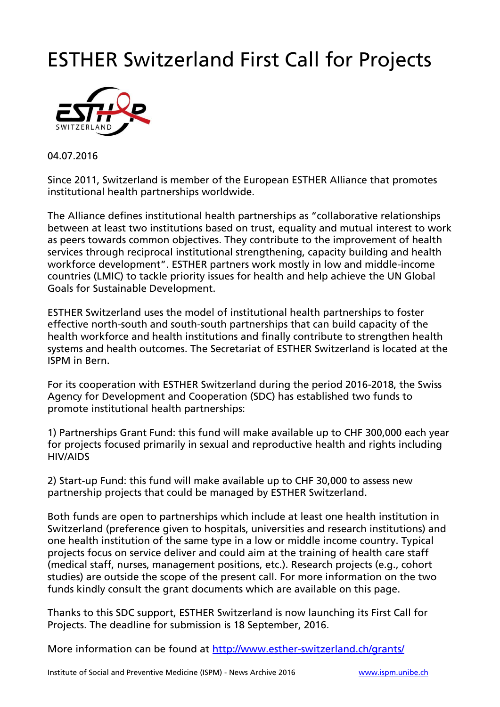## ESTHER Switzerland First Call for Projects



04.07.2016

Since 2011, Switzerland is member of the European ESTHER Alliance that promotes institutional health partnerships worldwide.

The Alliance defines institutional health partnerships as "collaborative relationships between at least two institutions based on trust, equality and mutual interest to work as peers towards common objectives. They contribute to the improvement of health services through reciprocal institutional strengthening, capacity building and health workforce development". ESTHER partners work mostly in low and middle-income countries (LMIC) to tackle priority issues for health and help achieve the UN Global Goals for Sustainable Development.

ESTHER Switzerland uses the model of institutional health partnerships to foster effective north-south and south-south partnerships that can build capacity of the health workforce and health institutions and finally contribute to strengthen health systems and health outcomes. The Secretariat of ESTHER Switzerland is located at the ISPM in Bern.

For its cooperation with ESTHER Switzerland during the period 2016-2018, the Swiss Agency for Development and Cooperation (SDC) has established two funds to promote institutional health partnerships:

1) Partnerships Grant Fund: this fund will make available up to CHF 300,000 each year for projects focused primarily in sexual and reproductive health and rights including HIV/AIDS

2) Start-up Fund: this fund will make available up to CHF 30,000 to assess new partnership projects that could be managed by ESTHER Switzerland.

Both funds are open to partnerships which include at least one health institution in Switzerland (preference given to hospitals, universities and research institutions) and one health institution of the same type in a low or middle income country. Typical projects focus on service deliver and could aim at the training of health care staff (medical staff, nurses, management positions, etc.). Research projects (e.g., cohort studies) are outside the scope of the present call. For more information on the two funds kindly consult the grant documents which are available on this page.

Thanks to this SDC support, ESTHER Switzerland is now launching its First Call for Projects. The deadline for submission is 18 September, 2016.

More information can be found at<http://www.esther-switzerland.ch/grants/>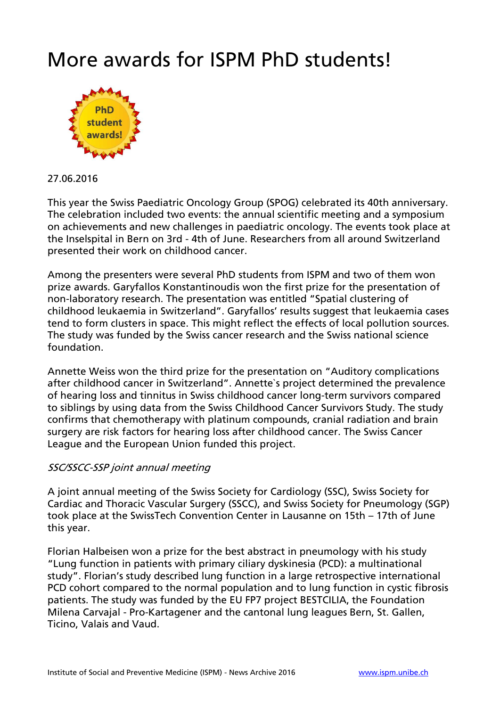### More awards for ISPM PhD students!



27.06.2016

This year the Swiss Paediatric Oncology Group (SPOG) celebrated its 40th anniversary. The celebration included two events: the annual scientific meeting and a symposium on achievements and new challenges in paediatric oncology. The events took place at the Inselspital in Bern on 3rd - 4th of June. Researchers from all around Switzerland presented their work on childhood cancer.

Among the presenters were several PhD students from ISPM and two of them won prize awards. Garyfallos Konstantinoudis won the first prize for the presentation of non-laboratory research. The presentation was entitled "Spatial clustering of childhood leukaemia in Switzerland". Garyfallos' results suggest that leukaemia cases tend to form clusters in space. This might reflect the effects of local pollution sources. The study was funded by the Swiss cancer research and the Swiss national science foundation.

Annette Weiss won the third prize for the presentation on "Auditory complications after childhood cancer in Switzerland". Annette`s project determined the prevalence of hearing loss and tinnitus in Swiss childhood cancer long-term survivors compared to siblings by using data from the Swiss Childhood Cancer Survivors Study. The study confirms that chemotherapy with platinum compounds, cranial radiation and brain surgery are risk factors for hearing loss after childhood cancer. The Swiss Cancer League and the European Union funded this project.

### SSC/SSCC-SSP joint annual meeting

A joint annual meeting of the Swiss Society for Cardiology (SSC), Swiss Society for Cardiac and Thoracic Vascular Surgery (SSCC), and Swiss Society for Pneumology (SGP) took place at the SwissTech Convention Center in Lausanne on 15th – 17th of June this year.

Florian Halbeisen won a prize for the best abstract in pneumology with his study "Lung function in patients with primary ciliary dyskinesia (PCD): a multinational study". Florian's study described lung function in a large retrospective international PCD cohort compared to the normal population and to lung function in cystic fibrosis patients. The study was funded by the EU FP7 project BESTCILIA, the Foundation Milena Carvajal - Pro-Kartagener and the cantonal lung leagues Bern, St. Gallen, Ticino, Valais and Vaud.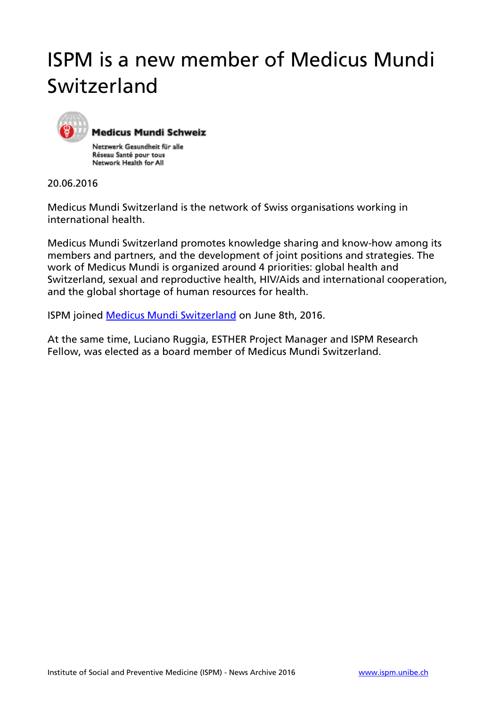## ISPM is a new member of Medicus Mundi Switzerland



**Medicus Mundi Schweiz** 

Netzwerk Gesundheit für alle Réseau Santé pour tous Network Health for All

20.06.2016

Medicus Mundi Switzerland is the network of Swiss organisations working in international health.

Medicus Mundi Switzerland promotes knowledge sharing and know-how among its members and partners, and the development of joint positions and strategies. The work of Medicus Mundi is organized around 4 priorities: global health and Switzerland, sexual and reproductive health, HIV/Aids and international cooperation, and the global shortage of human resources for health.

ISPM joined [Medicus Mundi Switzerland](http://www.medicusmundi.ch/en) on June 8th, 2016.

At the same time, Luciano Ruggia, ESTHER Project Manager and ISPM Research Fellow, was elected as a board member of Medicus Mundi Switzerland.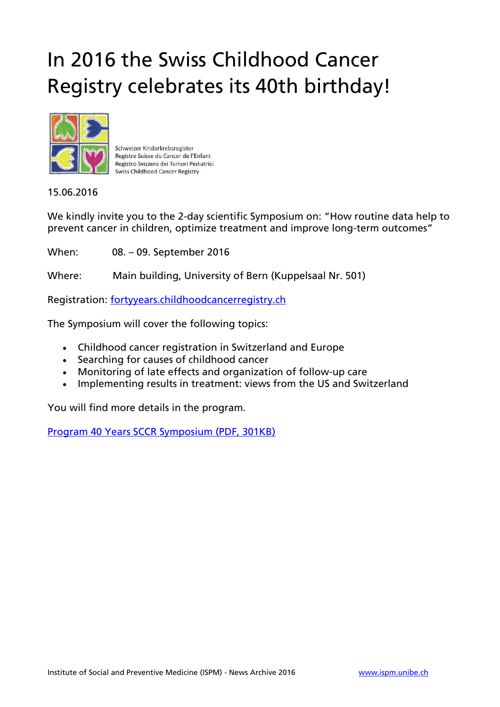## In 2016 the Swiss Childhood Cancer Registry celebrates its 40th birthday!



Schweizer Kinderkrebsregister Registre Suisse du Cancer de l'Enfant Registro Svizzero dei Tumori Pediatrici **Swiss Childhood Cancer Registry** 

15.06.2016

We kindly invite you to the 2-day scientific Symposium on: "How routine data help to prevent cancer in children, optimize treatment and improve long-term outcomes"

When: 08. – 09. September 2016

Where: Main building, University of Bern (Kuppelsaal Nr. 501)

Registration: [fortyyears.childhoodcancerregistry.ch](http://fortyyears.childhoodcancerregistry.ch/)

The Symposium will cover the following topics:

- Childhood cancer registration in Switzerland and Europe
- Searching for causes of childhood cancer
- Monitoring of late effects and organization of follow-up care
- Implementing results in treatment: views from the US and Switzerland

You will find more details in the program.

[Program 40 Years SCCR Symposium \(PDF, 301KB\)](http://www.ispm.unibe.ch/unibe/portal/fak_medizin/ber_vkhum/inst_smp/content/e93993/e95206/e447203/e447211/Program_40yearsSCCRsymposium_eng.pdf)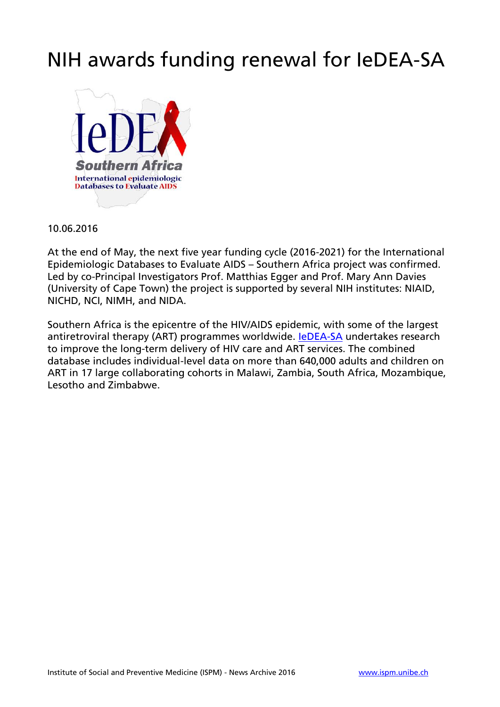### NIH awards funding renewal for IeDEA-SA



10.06.2016

At the end of May, the next five year funding cycle (2016-2021) for the International Epidemiologic Databases to Evaluate AIDS – Southern Africa project was confirmed. Led by co-Principal Investigators Prof. Matthias Egger and Prof. Mary Ann Davies (University of Cape Town) the project is supported by several NIH institutes: NIAID, NICHD, NCI, NIMH, and NIDA.

Southern Africa is the epicentre of the HIV/AIDS epidemic, with some of the largest antiretroviral therapy (ART) programmes worldwide. [IeDEA-SA](http://www.iedea-sa.org/) undertakes research to improve the long-term delivery of HIV care and ART services. The combined database includes individual-level data on more than 640,000 adults and children on ART in 17 large collaborating cohorts in Malawi, Zambia, South Africa, Mozambique, Lesotho and Zimbabwe.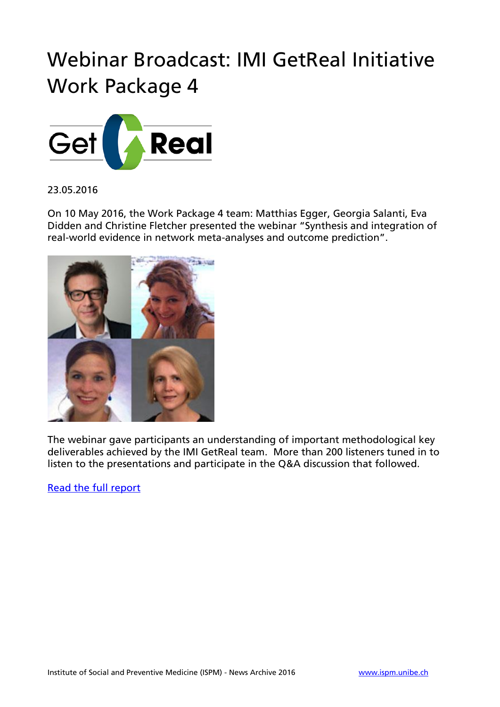## Webinar Broadcast: IMI GetReal Initiative Work Package 4



#### 23.05.2016

On 10 May 2016, the Work Package 4 team: Matthias Egger, Georgia Salanti, Eva Didden and Christine Fletcher presented the webinar "Synthesis and integration of real-world evidence in network meta-analyses and outcome prediction".



The webinar gave participants an understanding of important methodological key deliverables achieved by the IMI GetReal team. More than 200 listeners tuned in to listen to the presentations and participate in the Q&A discussion that followed.

[Read the full report](http://vitaltransformation.com/2016/05/getreal-webinar-report-synthesis-and-integration-of-real-world-evidence-in-network-meta-analyses-and-outcome-prediction/)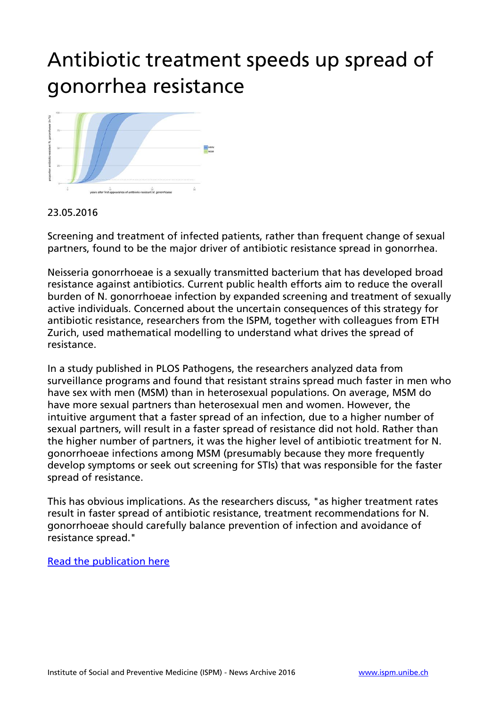## Antibiotic treatment speeds up spread of gonorrhea resistance



### 23.05.2016

Screening and treatment of infected patients, rather than frequent change of sexual partners, found to be the major driver of antibiotic resistance spread in gonorrhea.

Neisseria gonorrhoeae is a sexually transmitted bacterium that has developed broad resistance against antibiotics. Current public health efforts aim to reduce the overall burden of N. gonorrhoeae infection by expanded screening and treatment of sexually active individuals. Concerned about the uncertain consequences of this strategy for antibiotic resistance, researchers from the ISPM, together with colleagues from ETH Zurich, used mathematical modelling to understand what drives the spread of resistance.

In a study published in PLOS Pathogens, the researchers analyzed data from surveillance programs and found that resistant strains spread much faster in men who have sex with men (MSM) than in heterosexual populations. On average, MSM do have more sexual partners than heterosexual men and women. However, the intuitive argument that a faster spread of an infection, due to a higher number of sexual partners, will result in a faster spread of resistance did not hold. Rather than the higher number of partners, it was the higher level of antibiotic treatment for N. gonorrhoeae infections among MSM (presumably because they more frequently develop symptoms or seek out screening for STIs) that was responsible for the faster spread of resistance.

This has obvious implications. As the researchers discuss, "as higher treatment rates result in faster spread of antibiotic resistance, treatment recommendations for N. gonorrhoeae should carefully balance prevention of infection and avoidance of resistance spread."

#### [Read the publication here](http://journals.plos.org/plospathogens/article?id=10.1371/journal.ppat.1005611)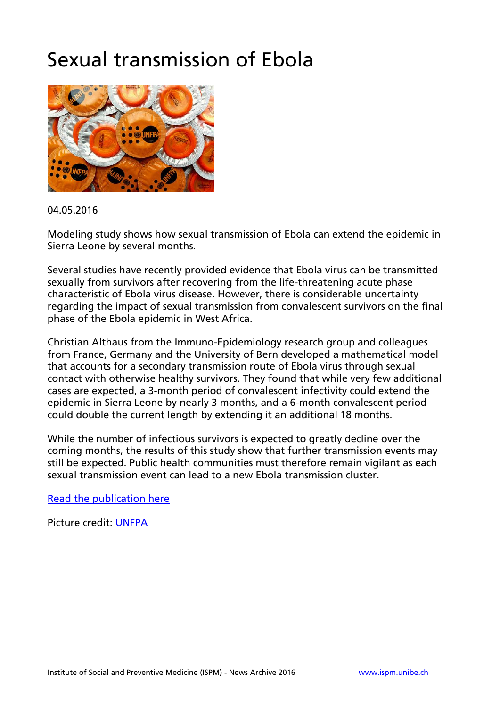### Sexual transmission of Ebola



#### 04.05.2016

Modeling study shows how sexual transmission of Ebola can extend the epidemic in Sierra Leone by several months.

Several studies have recently provided evidence that Ebola virus can be transmitted sexually from survivors after recovering from the life-threatening acute phase characteristic of Ebola virus disease. However, there is considerable uncertainty regarding the impact of sexual transmission from convalescent survivors on the final phase of the Ebola epidemic in West Africa.

Christian Althaus from the Immuno-Epidemiology research group and colleagues from France, Germany and the University of Bern developed a mathematical model that accounts for a secondary transmission route of Ebola virus through sexual contact with otherwise healthy survivors. They found that while very few additional cases are expected, a 3-month period of convalescent infectivity could extend the epidemic in Sierra Leone by nearly 3 months, and a 6-month convalescent period could double the current length by extending it an additional 18 months.

While the number of infectious survivors is expected to greatly decline over the coming months, the results of this study show that further transmission events may still be expected. Public health communities must therefore remain vigilant as each sexual transmission event can lead to a new Ebola transmission cluster.

[Read the publication here](http://journals.plos.org/plosntds/article?id=10.1371%2Fjournal.pntd.0004676)

Picture credit: [UNFPA](http://www.unfpa.org/news/ebola-prompts-efforts-boost-condom-use-liberia)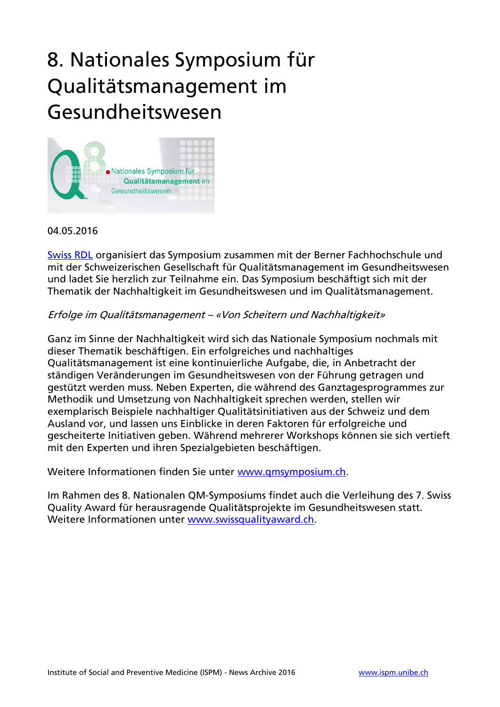## 8. Nationales Symposium für Qualitätsmanagement im Gesundheitswesen



04.05.2016

[Swiss RDL](http://www.swissrdl.unibe.ch/) organisiert das Symposium zusammen mit der Berner Fachhochschule und mit der Schweizerischen Gesellschaft für Qualitätsmanagement im Gesundheitswesen und ladet Sie herzlich zur Teilnahme ein. Das Symposium beschäftigt sich mit der Thematik der Nachhaltigkeit im Gesundheitswesen und im Qualitätsmanagement.

#### Erfolge im Qualitätsmanagement – «Von Scheitern und Nachhaltigkeit»

Ganz im Sinne der Nachhaltigkeit wird sich das Nationale Symposium nochmals mit dieser Thematik beschäftigen. Ein erfolgreiches und nachhaltiges Qualitätsmanagement ist eine kontinuierliche Aufgabe, die, in Anbetracht der ständigen Veränderungen im Gesundheitswesen von der Führung getragen und gestützt werden muss. Neben Experten, die während des Ganztagesprogrammes zur Methodik und Umsetzung von Nachhaltigkeit sprechen werden, stellen wir exemplarisch Beispiele nachhaltiger Qualitätsinitiativen aus der Schweiz und dem Ausland vor, und lassen uns Einblicke in deren Faktoren für erfolgreiche und gescheiterte Initiativen geben. Während mehrerer Workshops können sie sich vertieft mit den Experten und ihren Spezialgebieten beschäftigen.

Weitere Informationen finden Sie unter [www.qmsymposium.ch.](http://www.qmsymposium.ch/)

Im Rahmen des 8. Nationalen QM-Symposiums findet auch die Verleihung des 7. Swiss Quality Award für herausragende Qualitätsprojekte im Gesundheitswesen statt. Weitere Informationen unter [www.swissqualityaward.ch.](http://www.swissqualityaward.ch/)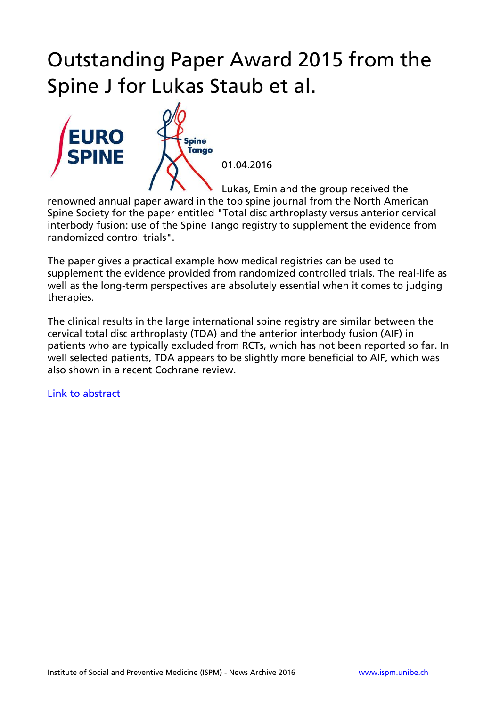## Outstanding Paper Award 2015 from the Spine J for Lukas Staub et al.



01.04.2016

Lukas, Emin and the group received the

renowned annual paper award in the top spine journal from the North American Spine Society for the paper entitled "Total disc arthroplasty versus anterior cervical interbody fusion: use of the Spine Tango registry to supplement the evidence from randomized control trials".

The paper gives a practical example how medical registries can be used to supplement the evidence provided from randomized controlled trials. The real-life as well as the long-term perspectives are absolutely essential when it comes to judging therapies.

The clinical results in the large international spine registry are similar between the cervical total disc arthroplasty (TDA) and the anterior interbody fusion (AIF) in patients who are typically excluded from RCTs, which has not been reported so far. In well selected patients, TDA appears to be slightly more beneficial to AIF, which was also shown in a recent Cochrane review.

[Link to abstract](http://www.sciencedirect.com/science/article/pii/S1529943015017635)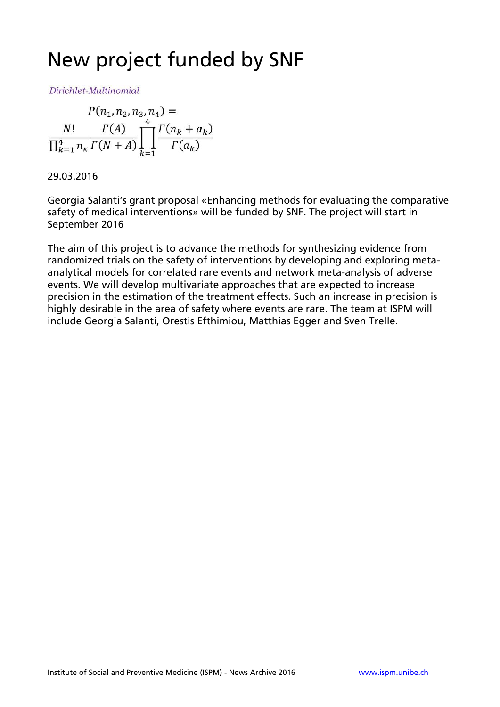### New project funded by SNF

Dirichlet-Multinomial

$$
P(n_1, n_2, n_3, n_4) =
$$
  

$$
\frac{N!}{\prod_{k=1}^4 n_k} \frac{\Gamma(A)}{\Gamma(N+A)} \prod_{k=1}^4 \frac{\Gamma(n_k + a_k)}{\Gamma(a_k)}
$$

29.03.2016

Georgia Salanti's grant proposal «Enhancing methods for evaluating the comparative safety of medical interventions» will be funded by SNF. The project will start in September 2016

The aim of this project is to advance the methods for synthesizing evidence from randomized trials on the safety of interventions by developing and exploring metaanalytical models for correlated rare events and network meta-analysis of adverse events. We will develop multivariate approaches that are expected to increase precision in the estimation of the treatment effects. Such an increase in precision is highly desirable in the area of safety where events are rare. The team at ISPM will include Georgia Salanti, Orestis Efthimiou, Matthias Egger and Sven Trelle.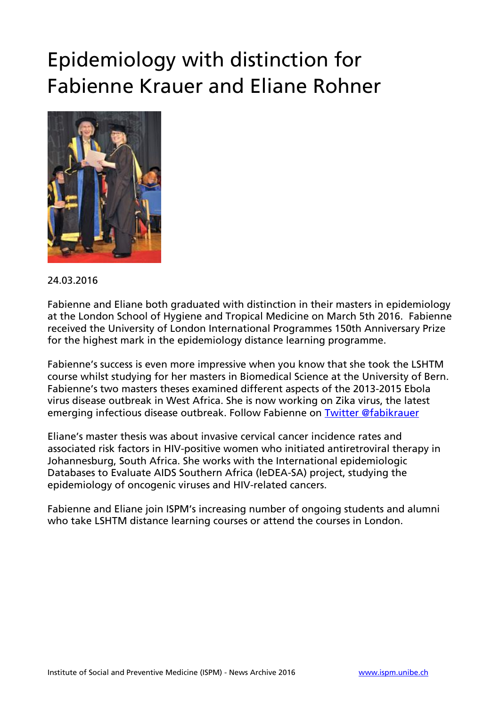## Epidemiology with distinction for Fabienne Krauer and Eliane Rohner



24.03.2016

Fabienne and Eliane both graduated with distinction in their masters in epidemiology at the London School of Hygiene and Tropical Medicine on March 5th 2016. Fabienne received the University of London International Programmes 150th Anniversary Prize for the highest mark in the epidemiology distance learning programme.

Fabienne's success is even more impressive when you know that she took the LSHTM course whilst studying for her masters in Biomedical Science at the University of Bern. Fabienne's two masters theses examined different aspects of the 2013-2015 Ebola virus disease outbreak in West Africa. She is now working on Zika virus, the latest emerging infectious disease outbreak. Follow Fabienne on [Twitter @fabikrauer](https://twitter.com/fabikrauer)

Eliane's master thesis was about invasive cervical cancer incidence rates and associated risk factors in HIV-positive women who initiated antiretroviral therapy in Johannesburg, South Africa. She works with the International epidemiologic Databases to Evaluate AIDS Southern Africa (IeDEA-SA) project, studying the epidemiology of oncogenic viruses and HIV-related cancers.

Fabienne and Eliane join ISPM's increasing number of ongoing students and alumni who take LSHTM distance learning courses or attend the courses in London.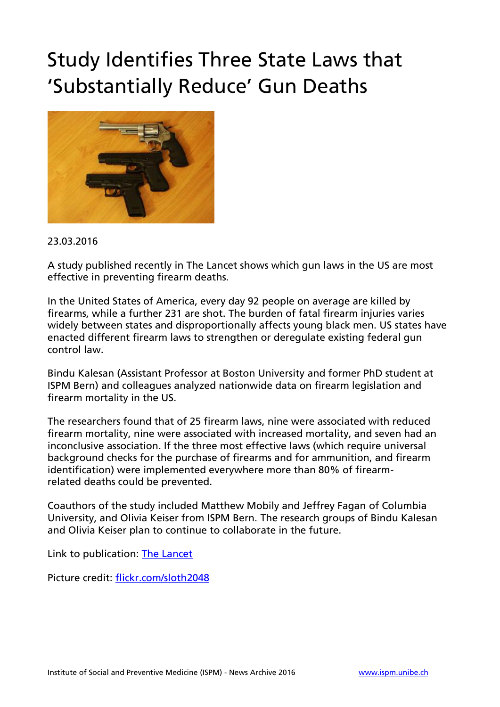## Study Identifies Three State Laws that 'Substantially Reduce' Gun Deaths



#### 23.03.2016

A study published recently in The Lancet shows which gun laws in the US are most effective in preventing firearm deaths.

In the United States of America, every day 92 people on average are killed by firearms, while a further 231 are shot. The burden of fatal firearm injuries varies widely between states and disproportionally affects young black men. US states have enacted different firearm laws to strengthen or deregulate existing federal gun control law.

Bindu Kalesan (Assistant Professor at Boston University and former PhD student at ISPM Bern) and colleagues analyzed nationwide data on firearm legislation and firearm mortality in the US.

The researchers found that of 25 firearm laws, nine were associated with reduced firearm mortality, nine were associated with increased mortality, and seven had an inconclusive association. If the three most effective laws (which require universal background checks for the purchase of firearms and for ammunition, and firearm identification) were implemented everywhere more than 80% of firearmrelated deaths could be prevented.

Coauthors of the study included Matthew Mobily and Jeffrey Fagan of Columbia University, and Olivia Keiser from ISPM Bern. The research groups of Bindu Kalesan and Olivia Keiser plan to continue to collaborate in the future.

Link to publication: [The Lancet](http://www.thelancet.com/journals/lancet/article/PIIS0140-6736%2815%2901026-0/abstract)

Picture credit: [flickr.com/sloth2048](http://flickr.com/sloth2048)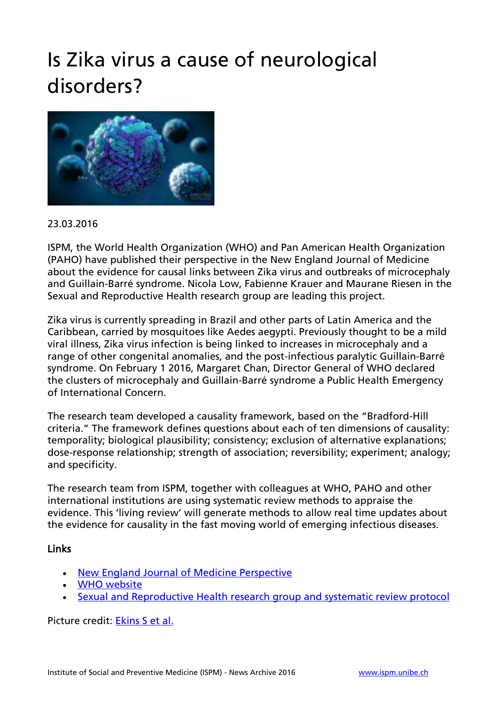## Is Zika virus a cause of neurological disorders?



### 23.03.2016

ISPM, the World Health Organization (WHO) and Pan American Health Organization (PAHO) have published their perspective in the New England Journal of Medicine about the evidence for causal links between Zika virus and outbreaks of microcephaly and Guillain-Barré syndrome. Nicola Low, Fabienne Krauer and Maurane Riesen in the Sexual and Reproductive Health research group are leading this project.

Zika virus is currently spreading in Brazil and other parts of Latin America and the Caribbean, carried by mosquitoes like Aedes aegypti. Previously thought to be a mild viral illness, Zika virus infection is being linked to increases in microcephaly and a range of other congenital anomalies, and the post-infectious paralytic Guillain-Barré syndrome. On February 1 2016, Margaret Chan, Director General of WHO declared the clusters of microcephaly and Guillain-Barré syndrome a Public Health Emergency of International Concern.

The research team developed a causality framework, based on the "Bradford-Hill criteria." The framework defines questions about each of ten dimensions of causality: temporality; biological plausibility; consistency; exclusion of alternative explanations; dose-response relationship; strength of association; reversibility; experiment; analogy; and specificity.

The research team from ISPM, together with colleagues at WHO, PAHO and other international institutions are using systematic review methods to appraise the evidence. This 'living review' will generate methods to allow real time updates about the evidence for causality in the fast moving world of emerging infectious diseases.

### Links

- [New England Journal of Medicine Perspective](http://www.nejm.org/doi/full/10.1056/NEJMp1602708?query=featured_zika)
- [WHO website](http://www.who.int/emergencies/zika-virus/en/)
- [Sexual and Reproductive Health research group and systematic review protocol](http://www.ispm.unibe.ch/research/research_groups/sexual_and_reproductive_health/index_eng.html)

Picture credit: [Ekins S et al.](http://f1000research.com/articles/5-275/v1)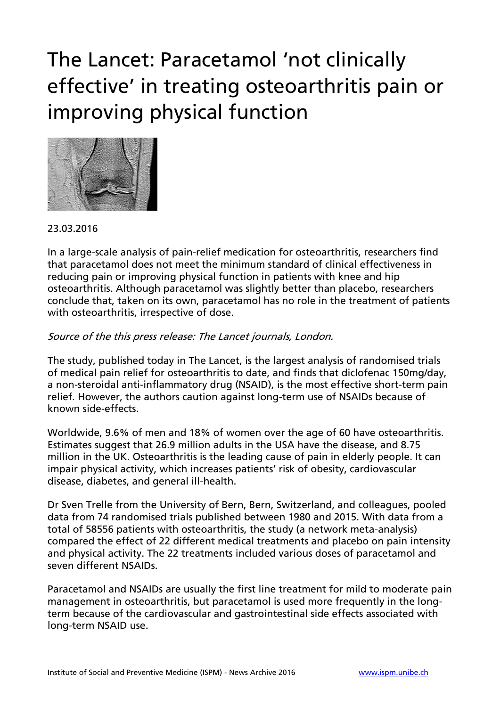## The Lancet: Paracetamol 'not clinically effective' in treating osteoarthritis pain or improving physical function



### 23.03.2016

In a large-scale analysis of pain-relief medication for osteoarthritis, researchers find that paracetamol does not meet the minimum standard of clinical effectiveness in reducing pain or improving physical function in patients with knee and hip osteoarthritis. Although paracetamol was slightly better than placebo, researchers conclude that, taken on its own, paracetamol has no role in the treatment of patients with osteoarthritis, irrespective of dose.

#### Source of the this press release: The Lancet journals, London.

The study, published today in The Lancet, is the largest analysis of randomised trials of medical pain relief for osteoarthritis to date, and finds that diclofenac 150mg/day, a non-steroidal anti-inflammatory drug (NSAID), is the most effective short-term pain relief. However, the authors caution against long-term use of NSAIDs because of known side-effects.

Worldwide, 9.6% of men and 18% of women over the age of 60 have osteoarthritis. Estimates suggest that 26.9 million adults in the USA have the disease, and 8.75 million in the UK. Osteoarthritis is the leading cause of pain in elderly people. It can impair physical activity, which increases patients' risk of obesity, cardiovascular disease, diabetes, and general ill-health.

Dr Sven Trelle from the University of Bern, Bern, Switzerland, and colleagues, pooled data from 74 randomised trials published between 1980 and 2015. With data from a total of 58556 patients with osteoarthritis, the study (a network meta-analysis) compared the effect of 22 different medical treatments and placebo on pain intensity and physical activity. The 22 treatments included various doses of paracetamol and seven different NSAIDs.

Paracetamol and NSAIDs are usually the first line treatment for mild to moderate pain management in osteoarthritis, but paracetamol is used more frequently in the longterm because of the cardiovascular and gastrointestinal side effects associated with long-term NSAID use.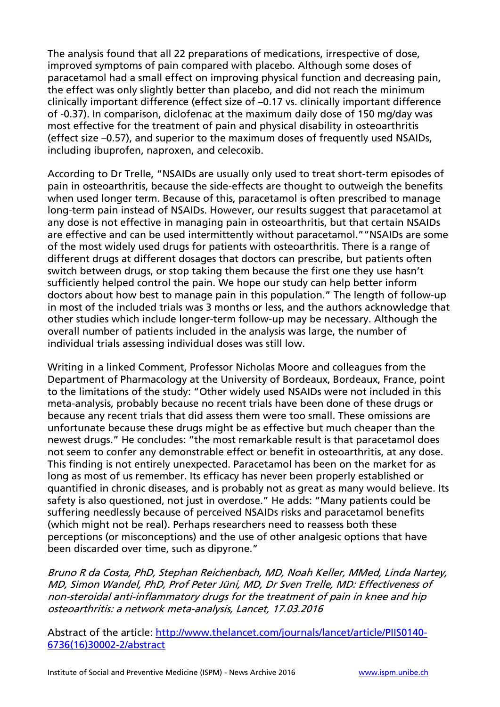The analysis found that all 22 preparations of medications, irrespective of dose, improved symptoms of pain compared with placebo. Although some doses of paracetamol had a small effect on improving physical function and decreasing pain, the effect was only slightly better than placebo, and did not reach the minimum clinically important difference (effect size of –0.17 vs. clinically important difference of -0.37). In comparison, diclofenac at the maximum daily dose of 150 mg/day was most effective for the treatment of pain and physical disability in osteoarthritis (effect size –0.57), and superior to the maximum doses of frequently used NSAIDs, including ibuprofen, naproxen, and celecoxib.

According to Dr Trelle, "NSAIDs are usually only used to treat short-term episodes of pain in osteoarthritis, because the side-effects are thought to outweigh the benefits when used longer term. Because of this, paracetamol is often prescribed to manage long-term pain instead of NSAIDs. However, our results suggest that paracetamol at any dose is not effective in managing pain in osteoarthritis, but that certain NSAIDs are effective and can be used intermittently without paracetamol.""NSAIDs are some of the most widely used drugs for patients with osteoarthritis. There is a range of different drugs at different dosages that doctors can prescribe, but patients often switch between drugs, or stop taking them because the first one they use hasn't sufficiently helped control the pain. We hope our study can help better inform doctors about how best to manage pain in this population." The length of follow-up in most of the included trials was 3 months or less, and the authors acknowledge that other studies which include longer-term follow-up may be necessary. Although the overall number of patients included in the analysis was large, the number of individual trials assessing individual doses was still low.

Writing in a linked Comment, Professor Nicholas Moore and colleagues from the Department of Pharmacology at the University of Bordeaux, Bordeaux, France, point to the limitations of the study: "Other widely used NSAIDs were not included in this meta-analysis, probably because no recent trials have been done of these drugs or because any recent trials that did assess them were too small. These omissions are unfortunate because these drugs might be as effective but much cheaper than the newest drugs." He concludes: "the most remarkable result is that paracetamol does not seem to confer any demonstrable effect or benefit in osteoarthritis, at any dose. This finding is not entirely unexpected. Paracetamol has been on the market for as long as most of us remember. Its efficacy has never been properly established or quantified in chronic diseases, and is probably not as great as many would believe. Its safety is also questioned, not just in overdose." He adds: "Many patients could be suffering needlessly because of perceived NSAIDs risks and paracetamol benefits (which might not be real). Perhaps researchers need to reassess both these perceptions (or misconceptions) and the use of other analgesic options that have been discarded over time, such as dipyrone."

Bruno R da Costa, PhD, Stephan Reichenbach, MD, Noah Keller, MMed, Linda Nartey, MD, Simon Wandel, PhD, Prof Peter Jüni, MD, Dr Sven Trelle, MD: Effectiveness of non-steroidal anti-inflammatory drugs for the treatment of pain in knee and hip osteoarthritis: a network meta-analysis, Lancet, 17.03.2016

Abstract of the article: [http://www.thelancet.com/journals/lancet/article/PIIS0140-](http://www.thelancet.com/journals/lancet/article/PIIS0140-6736%2816%2930002-2/abstract) [6736\(16\)30002-2/abstract](http://www.thelancet.com/journals/lancet/article/PIIS0140-6736%2816%2930002-2/abstract)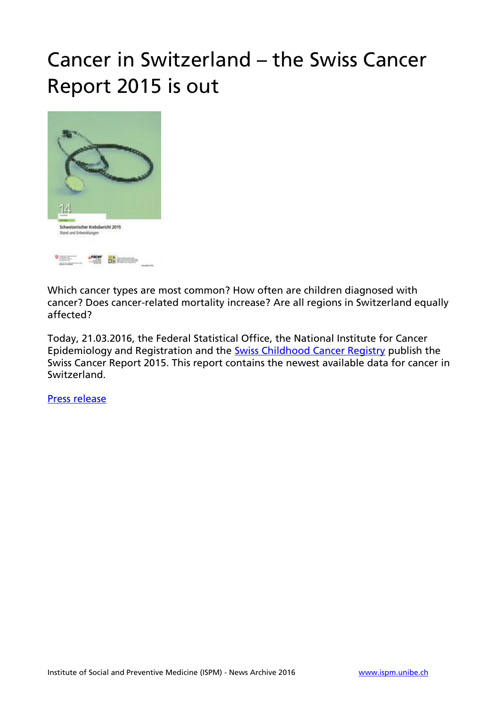## Cancer in Switzerland – the Swiss Cancer Report 2015 is out



Which cancer types are most common? How often are children diagnosed with cancer? Does cancer-related mortality increase? Are all regions in Switzerland equally affected?

Today, 21.03.2016, the Federal Statistical Office, the National Institute for Cancer Epidemiology and Registration and the [Swiss Childhood Cancer Registry](http://www.childhoodcancerregistry.ch/) publish the Swiss Cancer Report 2015. This report contains the newest available data for cancer in Switzerland.

[Press release](http://www.bfs.admin.ch/bfs/portal/en/index/news/01/nip_detail.html?gnpID=2015-496)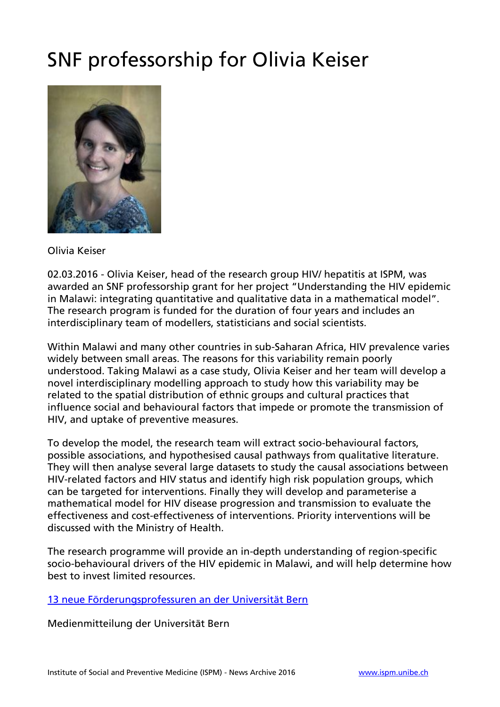## SNF professorship for Olivia Keiser



Olivia Keiser

02.03.2016 - Olivia Keiser, head of the research group HIV/ hepatitis at ISPM, was awarded an SNF professorship grant for her project "Understanding the HIV epidemic in Malawi: integrating quantitative and qualitative data in a mathematical model". The research program is funded for the duration of four years and includes an interdisciplinary team of modellers, statisticians and social scientists.

Within Malawi and many other countries in sub-Saharan Africa, HIV prevalence varies widely between small areas. The reasons for this variability remain poorly understood. Taking Malawi as a case study, Olivia Keiser and her team will develop a novel interdisciplinary modelling approach to study how this variability may be related to the spatial distribution of ethnic groups and cultural practices that influence social and behavioural factors that impede or promote the transmission of HIV, and uptake of preventive measures.

To develop the model, the research team will extract socio-behavioural factors, possible associations, and hypothesised causal pathways from qualitative literature. They will then analyse several large datasets to study the causal associations between HIV-related factors and HIV status and identify high risk population groups, which can be targeted for interventions. Finally they will develop and parameterise a mathematical model for HIV disease progression and transmission to evaluate the effectiveness and cost-effectiveness of interventions. Priority interventions will be discussed with the Ministry of Health.

The research programme will provide an in-depth understanding of region-specific socio-behavioural drivers of the HIV epidemic in Malawi, and will help determine how best to invest limited resources.

#### [13 neue Förderungsprofessuren an der Universität Bern](http://www.unibe.ch/aktuell/medien/media_relations/medienmitteilungen/2016/medienmitteilungen_2016/13_neue_foerderungsprofessuren_an_der_universitaet_bern/index_ger.html)

Medienmitteilung der Universität Bern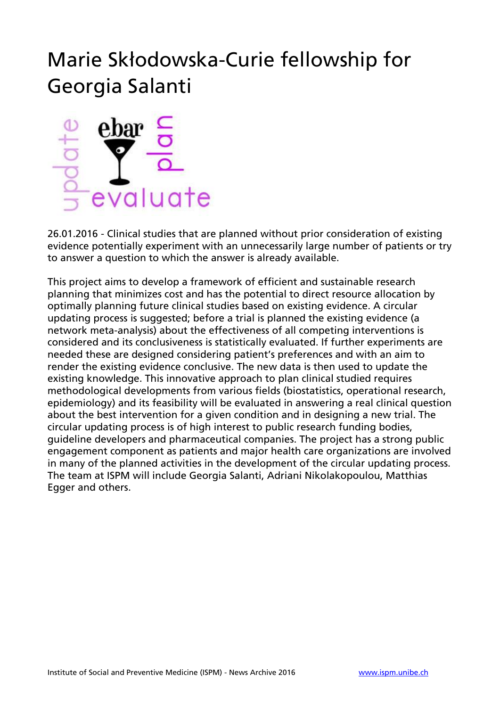## Marie Skłodowska-Curie fellowship for Georgia Salanti



26.01.2016 - Clinical studies that are planned without prior consideration of existing evidence potentially experiment with an unnecessarily large number of patients or try to answer a question to which the answer is already available.

This project aims to develop a framework of efficient and sustainable research planning that minimizes cost and has the potential to direct resource allocation by optimally planning future clinical studies based on existing evidence. A circular updating process is suggested; before a trial is planned the existing evidence (a network meta-analysis) about the effectiveness of all competing interventions is considered and its conclusiveness is statistically evaluated. If further experiments are needed these are designed considering patient's preferences and with an aim to render the existing evidence conclusive. The new data is then used to update the existing knowledge. This innovative approach to plan clinical studied requires methodological developments from various fields (biostatistics, operational research, epidemiology) and its feasibility will be evaluated in answering a real clinical question about the best intervention for a given condition and in designing a new trial. The circular updating process is of high interest to public research funding bodies, guideline developers and pharmaceutical companies. The project has a strong public engagement component as patients and major health care organizations are involved in many of the planned activities in the development of the circular updating process. The team at ISPM will include Georgia Salanti, Adriani Nikolakopoulou, Matthias Egger and others.